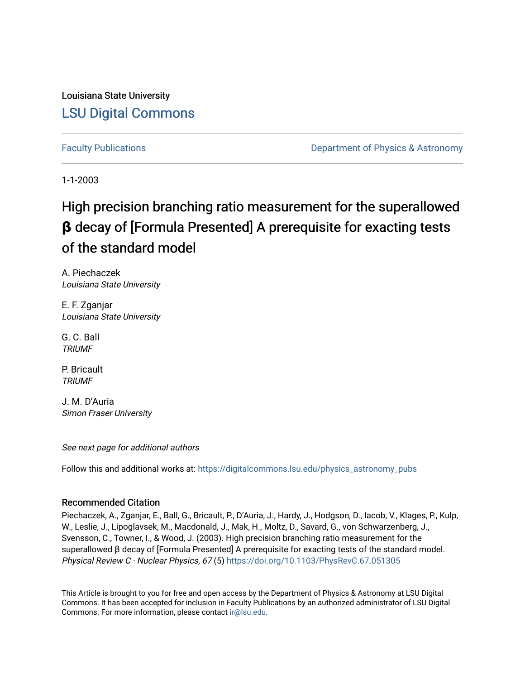Louisiana State University [LSU Digital Commons](https://digitalcommons.lsu.edu/)

[Faculty Publications](https://digitalcommons.lsu.edu/physics_astronomy_pubs) **Example 2** Constant Department of Physics & Astronomy

1-1-2003

# High precision branching ratio measurement for the superallowed **β** decay of [Formula Presented] A prerequisite for exacting tests of the standard model

A. Piechaczek Louisiana State University

E. F. Zganjar Louisiana State University

G. C. Ball **TRIUMF** 

P. Bricault **TRIUMF** 

J. M. D'Auria Simon Fraser University

See next page for additional authors

Follow this and additional works at: [https://digitalcommons.lsu.edu/physics\\_astronomy\\_pubs](https://digitalcommons.lsu.edu/physics_astronomy_pubs?utm_source=digitalcommons.lsu.edu%2Fphysics_astronomy_pubs%2F6140&utm_medium=PDF&utm_campaign=PDFCoverPages) 

### Recommended Citation

Piechaczek, A., Zganjar, E., Ball, G., Bricault, P., D'Auria, J., Hardy, J., Hodgson, D., Iacob, V., Klages, P., Kulp, W., Leslie, J., Lipoglavsek, M., Macdonald, J., Mak, H., Moltz, D., Savard, G., von Schwarzenberg, J., Svensson, C., Towner, I., & Wood, J. (2003). High precision branching ratio measurement for the superallowed β decay of [Formula Presented] A prerequisite for exacting tests of the standard model. Physical Review C - Nuclear Physics, 67 (5)<https://doi.org/10.1103/PhysRevC.67.051305>

This Article is brought to you for free and open access by the Department of Physics & Astronomy at LSU Digital Commons. It has been accepted for inclusion in Faculty Publications by an authorized administrator of LSU Digital Commons. For more information, please contact [ir@lsu.edu](mailto:ir@lsu.edu).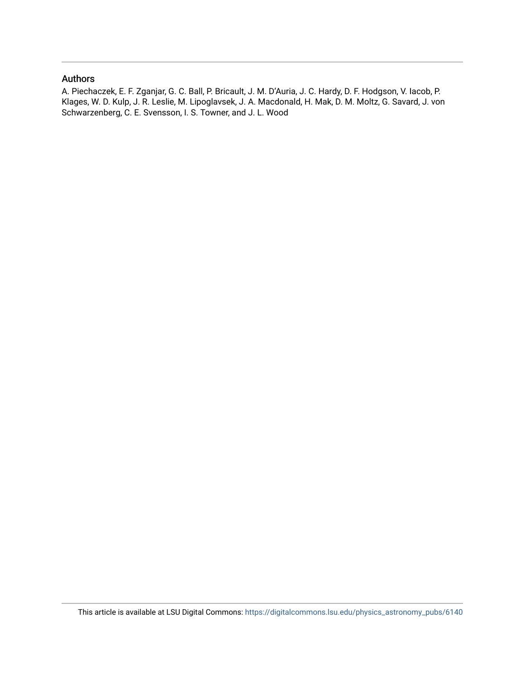### Authors

A. Piechaczek, E. F. Zganjar, G. C. Ball, P. Bricault, J. M. D'Auria, J. C. Hardy, D. F. Hodgson, V. Iacob, P. Klages, W. D. Kulp, J. R. Leslie, M. Lipoglavsek, J. A. Macdonald, H. Mak, D. M. Moltz, G. Savard, J. von Schwarzenberg, C. E. Svensson, I. S. Towner, and J. L. Wood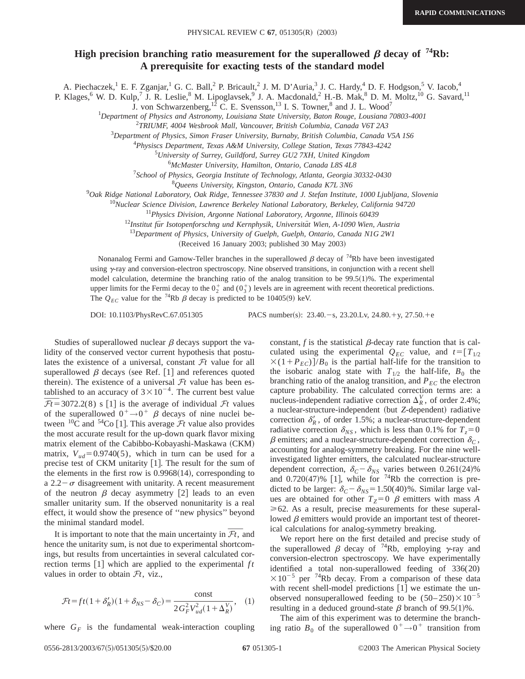## **High precision branching ratio measurement for the superallowed**  $\beta$  **decay of**  $74Rb$ **: A prerequisite for exacting tests of the standard model**

A. Piechaczek,<sup>1</sup> E. F. Zganjar,<sup>1</sup> G. C. Ball,<sup>2</sup> P. Bricault,<sup>2</sup> J. M. D'Auria,<sup>3</sup> J. C. Hardy,<sup>4</sup> D. F. Hodgson,<sup>5</sup> V. Iacob,<sup>4</sup>

P. Klages,<sup>6</sup> W. D. Kulp,<sup>7</sup> J. R. Leslie,<sup>8</sup> M. Lipoglavsek,<sup>9</sup> J. A. Macdonald,<sup>2</sup> H.-B. Mak,<sup>8</sup> D. M. Moltz,<sup>10</sup> G. Savard,<sup>11</sup>

J. von Schwarzenberg,<sup>12</sup> C. E. Svensson,<sup>13</sup> I. S. Towner,<sup>8</sup> and J. L. Wood<sup>7</sup>

1 *Department of Physics and Astronomy, Louisiana State University, Baton Rouge, Lousiana 70803-4001*

2 *TRIUMF, 4004 Wesbrook Mall, Vancouver, British Columbia, Canada V6T 2A3*

3 *Department of Physics, Simon Fraser University, Burnaby, British Columbia, Canada V5A 1S6*

4 *Physiscs Department, Texas A&M University, College Station, Texas 77843-4242*

5 *University of Surrey, Guildford, Surrey GU2 7XH, United Kingdom*

6 *McMaster University, Hamilton, Ontario, Canada L8S 4L8*

7 *School of Physics, Georgia Institute of Technology, Atlanta, Georgia 30332-0430*

8 *Queens University, Kingston, Ontario, Canada K7L 3N6*

9 *Oak Ridge National Laboratory, Oak Ridge, Tennessee 37830 and J. Stefan Institute, 1000 Ljubljana, Slovenia*

<sup>10</sup>*Nuclear Science Division, Lawrence Berkeley National Laboratory, Berkeley, California 94720*

<sup>11</sup>*Physics Division, Argonne National Laboratory, Argonne, Illinois 60439*

<sup>12</sup>Institut für Isotopenforschng und Kernphysik, Universität Wien, A-1090 Wien, Austria

<sup>13</sup>*Department of Physics, University of Guelph, Guelph, Ontario, Canada N1G 2W1*

(Received 16 January 2003; published 30 May 2003)

Nonanalog Fermi and Gamow-Teller branches in the superallowed  $\beta$  decay of <sup>74</sup>Rb have been investigated using  $\gamma$ -ray and conversion-electron spectroscopy. Nine observed transitions, in conjunction with a recent shell model calculation, determine the branching ratio of the analog transition to be  $99.5(1)\%$ . The experimental upper limits for the Fermi decay to the  $0^+_2$  and  $(0^+_3)$  levels are in agreement with recent theoretical predictions. The  $Q_{EC}$  value for the <sup>74</sup>Rb  $\beta$  decay is predicted to be 10405(9) keV.

DOI: 10.1103/PhysRevC.67.051305 PACS number(s): 23.40. - s, 23.20.Lv, 24.80. + y, 27.50. + e

Studies of superallowed nuclear  $\beta$  decays support the validity of the conserved vector current hypothesis that postulates the existence of a universal, constant  $\mathcal{F}_t$  value for all superallowed  $\beta$  decays (see Ref. [1] and references quoted therein). The existence of a universal  $\mathcal{F}t$  value has been estherein). The existence of a universal  $J_t$  value has been es-<br>tablished to an accuracy of  $3 \times 10^{-4}$ . The current best value<br> $\overline{F_t}$ = 3072.2(8) s [1] is the average of individual  $F_t$  values  $\overline{\mathcal{F}t}$ =3072.2(8) s [1] is the average of individual  $\mathcal{F}t$  values of the superallowed  $0^+ \rightarrow 0^+$   $\beta$  decays of nine nuclei between  ${}^{10}$ C and  ${}^{54}$ Co [1]. This average *Ft* value also provides the most accurate result for the up-down quark flavor mixing matrix element of the Cabibbo-Kobayashi-Maskawa (CKM) matrix,  $V_{ud}$ =0.9740(5), which in turn can be used for a precise test of CKM unitarity  $[1]$ . The result for the sum of the elements in the first row is  $0.9968(14)$ , corresponding to a 2.2 $-\sigma$  disagreement with unitarity. A recent measurement of the neutron  $\beta$  decay asymmetry [2] leads to an even smaller unitarity sum. If the observed nonunitarity is a real effect, it would show the presence of ''new physics'' beyond the minimal standard model. It is important to note that the main uncertainty in  $\overline{\mathcal{F}}t$ , and  $\overline{\mathcal{F}}t$ , and

hence the unitarity sum, is not due to experimental shortcomings, but results from uncertainties in several calculated correction terms  $[1]$  which are applied to the experimental  $ft$ values in order to obtain  $\mathcal{F}t$ , viz.,

$$
\mathcal{F}t = ft(1+\delta_R')(1+\delta_{NS}-\delta_C) = \frac{\text{const}}{2G_F^2 V_{ud}^2(1+\Delta_R^V)},\quad(1)
$$

where  $G_F$  is the fundamental weak-interaction coupling

constant,  $f$  is the statistical  $\beta$ -decay rate function that is calculated using the experimental  $Q_{EC}$  value, and  $t=[T_{1/2}]$  $\times$ (1+ $P_{EC}$ )]/ $B_0$  is the partial half-life for the transition to the isobaric analog state with  $T_{1/2}$  the half-life,  $B_0$  the branching ratio of the analog transition, and  $P_{EC}$  the electron capture probability. The calculated correction terms are: a nucleus-independent radiative correction  $\Delta_R^V$ , of order 2.4%; a nuclear-structure-independent (but *Z*-dependent) radiative correction  $\delta_R^{\prime}$ , of order 1.5%; a nuclear-structure-dependent radiative correction  $\delta_{NS}$ , which is less than 0.1% for  $T_z = 0$  $\beta$  emitters; and a nuclear-structure-dependent correction  $\delta_C$ , accounting for analog-symmetry breaking. For the nine wellinvestigated lighter emitters, the calculated nuclear-structure dependent correction,  $\delta_C - \delta_{NS}$  varies between 0.261(24)% and  $0.720(47)\%$  [1], while for <sup>74</sup>Rb the correction is predicted to be larger:  $\delta_C - \delta_{NS} = 1.50(40)$ %. Similar large values are obtained for other  $T_Z=0$   $\beta$  emitters with mass *A*  $\geq 62$ . As a result, precise measurements for these superallowed  $\beta$  emitters would provide an important test of theoretical calculations for analog-symmetry breaking.

We report here on the first detailed and precise study of the superallowed  $\beta$  decay of <sup>74</sup>Rb, employing  $\gamma$ -ray and conversion-electron spectroscopy. We have experimentally identified a total non-superallowed feeding of 336(20)  $\times 10^{-5}$  per <sup>74</sup>Rb decay. From a comparison of these data with recent shell-model predictions  $[1]$  we estimate the unobserved nonsuperallowed feeding to be  $(50-250)\times10^{-5}$ resulting in a deduced ground-state  $\beta$  branch of 99.5(1)%.

The aim of this experiment was to determine the branching ratio  $B_0$  of the superallowed  $0^+ \rightarrow 0^+$  transition from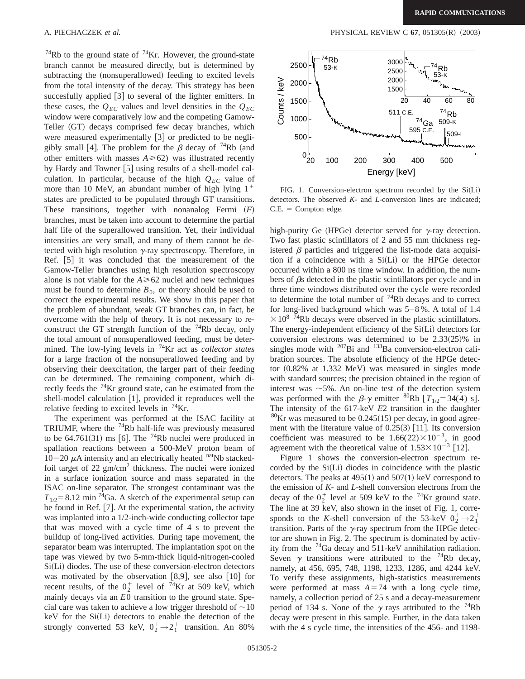$^{74}$ Rb to the ground state of  $^{74}$ Kr. However, the ground-state branch cannot be measured directly, but is determined by subtracting the (nonsuperallowed) feeding to excited levels from the total intensity of the decay. This strategy has been succesfully applied [3] to several of the lighter emitters. In these cases, the  $Q_{EC}$  values and level densities in the  $Q_{EC}$ window were comparatively low and the competing Gamow-Teller (GT) decays comprised few decay branches, which were measured experimentally  $[3]$  or predicted to be negligibly small [4]. The problem for the  $\beta$  decay of <sup>74</sup>Rb (and other emitters with masses  $A \ge 62$ ) was illustrated recently by Hardy and Towner [5] using results of a shell-model calculation. In particular, because of the high  $Q_{EC}$  value of more than 10 MeV, an abundant number of high lying  $1^+$ states are predicted to be populated through GT transitions. These transitions, together with nonanalog Fermi  $(F)$ branches, must be taken into account to determine the partial half life of the superallowed transition. Yet, their individual intensities are very small, and many of them cannot be detected with high resolution  $\gamma$ -ray spectroscopy. Therefore, in Ref.  $[5]$  it was concluded that the measurement of the Gamow-Teller branches using high resolution spectroscopy alone is not viable for the  $A \ge 62$  nuclei and new techniques must be found to determine  $B_0$ , or theory should be used to correct the experimental results. We show in this paper that the problem of abundant, weak GT branches can, in fact, be overcome with the help of theory. It is not necessary to reconstruct the GT strength function of the  $74Rb$  decay, only the total amount of nonsuperallowed feeding, must be determined. The low-lying levels in 74Kr act as *collector states* for a large fraction of the nonsuperallowed feeding and by observing their deexcitation, the larger part of their feeding can be determined. The remaining component, which directly feeds the  $^{74}$ Kr ground state, can be estimated from the shell-model calculation  $[1]$ , provided it reproduces well the relative feeding to excited levels in  $74$ Kr.

The experiment was performed at the ISAC facility at TRIUMF, where the  $^{74}$ Rb half-life was previously measured to be 64.761(31) ms [6]. The  $74Rb$  nuclei were produced in spallation reactions between a 500-MeV proton beam of  $10-20 \mu A$  intensity and an electrically heated natNb stackedfoil target of 22  $\text{gm/cm}^2$  thickness. The nuclei were ionized in a surface ionization source and mass separated in the ISAC on-line separator. The strongest contaminant was the  $T_{1/2}$ =8.12 min<sup>74</sup>Ga. A sketch of the experimental setup can be found in Ref.  $[7]$ . At the experimental station, the activity was implanted into a 1/2-inch-wide conducting collector tape that was moved with a cycle time of 4 s to prevent the buildup of long-lived activities. During tape movement, the separator beam was interrupted. The implantation spot on the tape was viewed by two 5-mm-thick liquid-nitrogen-cooled  $Si(L<sub>i</sub>)$  diodes. The use of these conversion-electron detectors was motivated by the observation  $[8,9]$ , see also  $[10]$  for recent results, of the  $0^+_2$  level of <sup>74</sup>Kr at 509 keV, which mainly decays via an *E*0 transition to the ground state. Special care was taken to achieve a low trigger threshold of  $\sim$ 10  $keV$  for the  $Si(Li)$  detectors to enable the detection of the strongly converted 53 keV,  $0_2^+ \rightarrow 2_1^+$  transition. An 80%



FIG. 1. Conversion-electron spectrum recorded by the  $Si(Li)$ detectors. The observed *K*- and *L*-conversion lines are indicated;  $C.E. = Compton edge.$ 

high-purity Ge (HPGe) detector served for  $\gamma$ -ray detection. Two fast plastic scintillators of 2 and 55 mm thickness registered  $\beta$  particles and triggered the list-mode data acquisition if a coincidence with a  $Si(Li)$  or the HPGe detector occurred within a 800 ns time window. In addition, the numbers of  $\beta$ s detected in the plastic scintillators per cycle and in three time windows distributed over the cycle were recorded to determine the total number of  $74Rb$  decays and to correct for long-lived background which was 5–8 %. A total of 1.4  $\times$  10<sup>8</sup> <sup>74</sup>Rb decays were observed in the plastic scintillators. The energy-independent efficiency of the  $Si(Li)$  detectors for conversion electrons was determined to be  $2.33(25)\%$  in singles mode with  $^{207}$ Bi and  $^{133}$ Ba conversion-electron calibration sources. The absolute efficiency of the HPGe detector  $(0.82\%$  at 1.332 MeV) was measured in singles mode with standard sources; the precision obtained in the region of interest was  $\sim$  5%. An on-line test of the detection system was performed with the  $\beta$ - $\gamma$  emitter <sup>80</sup>Rb  $[T_{1/2} = 34(4)$  s]. The intensity of the 617-keV *E*2 transition in the daughter  $80$ Kr was measured to be 0.245(15) per decay, in good agreement with the literature value of  $0.25(3)$  [11]. Its conversion coefficient was measured to be  $1.66(22) \times 10^{-3}$ , in good agreement with the theoretical value of  $1.53 \times 10^{-3}$  [12].

Figure 1 shows the conversion-electron spectrum recorded by the  $Si(L<sub>i</sub>)$  diodes in coincidence with the plastic detectors. The peaks at  $495(1)$  and  $507(1)$  keV correspond to the emission of *K*- and *L*-shell conversion electrons from the decay of the  $0_2^+$  level at 509 keV to the <sup>74</sup>Kr ground state. The line at 39 keV, also shown in the inset of Fig. 1, corresponds to the *K*-shell conversion of the 53-keV  $0_2^+$   $\rightarrow$   $2_1^+$ transition. Parts of the  $\gamma$ -ray spectrum from the HPGe detector are shown in Fig. 2. The spectrum is dominated by activity from the  $^{74}$ Ga decay and 511-keV annihilation radiation. Seven  $\gamma$  transitions were attributed to the <sup>74</sup>Rb decay, namely, at 456, 695, 748, 1198, 1233, 1286, and 4244 keV. To verify these assignments, high-statistics measurements were performed at mass  $A=74$  with a long cycle time, namely, a collection period of 25 s and a decay-measurement period of 134 s. None of the  $\gamma$  rays attributed to the <sup>74</sup>Rb decay were present in this sample. Further, in the data taken with the 4 s cycle time, the intensities of the 456- and 1198-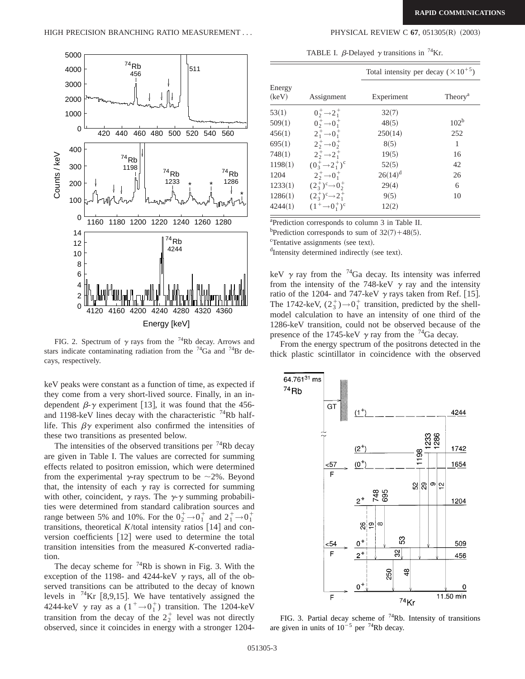

FIG. 2. Spectrum of  $\gamma$  rays from the <sup>74</sup>Rb decay. Arrows and stars indicate contaminating radiation from the  $^{74}Ga$  and  $^{74}Br$  decays, respectively.

keV peaks were constant as a function of time, as expected if they come from a very short-lived source. Finally, in an independent  $\beta$ - $\gamma$  experiment [13], it was found that the 456and 1198-keV lines decay with the characteristic  $74$ Rb halflife. This  $\beta \gamma$  experiment also confirmed the intensities of these two transitions as presented below.

The intensities of the observed transitions per  $^{74}$ Rb decay are given in Table I. The values are corrected for summing effects related to positron emission, which were determined from the experimental  $\gamma$ -ray spectrum to be  $\sim$ 2%. Beyond that, the intensity of each  $\gamma$  ray is corrected for summing with other, coincident,  $\gamma$  rays. The  $\gamma$ - $\gamma$  summing probabilities were determined from standard calibration sources and range between 5% and 10%. For the  $0_2^+ \rightarrow 0_1^+$  and  $2_1^+ \rightarrow 0_1^+$ transitions, theoretical  $K$ /total intensity ratios [14] and conversion coefficients  $[12]$  were used to determine the total transition intensities from the measured *K*-converted radiation.

The decay scheme for  $^{74}$ Rb is shown in Fig. 3. With the exception of the 1198- and 4244-keV  $\gamma$  rays, all of the observed transitions can be attributed to the decay of known levels in  $^{74}$ Kr [8,9,15]. We have tentatively assigned the 4244-keV  $\gamma$  ray as a  $(1^+ \rightarrow 0^+_1)$  transition. The 1204-keV transition from the decay of the  $2^+_2$  level was not directly observed, since it coincides in energy with a stronger 1204-

TABLE I.  $\beta$ -Delayed  $\gamma$  transitions in <sup>74</sup>Kr.

|                 |                                       | Total intensity per decay $(\times 10^{+5})$ |                     |  |
|-----------------|---------------------------------------|----------------------------------------------|---------------------|--|
| Energy<br>(keV) | Assignment                            | Experiment                                   | Theory <sup>a</sup> |  |
| 53(1)           | $0^+_2 \rightarrow 2^+_1$             | 32(7)                                        |                     |  |
| 509(1)          | $0^+$ $\rightarrow 0^+$               | 48(5)                                        | 102 <sup>b</sup>    |  |
| 456(1)          | $2^+_1 \rightarrow 0^+_1$             | 250(14)                                      | 252                 |  |
| 695(1)          | $2^{+}_{2} \rightarrow 0^{+}_{2}$     | 8(5)                                         | 1                   |  |
| 748(1)          | $2^{+}_{2}$ $\rightarrow$ $2^{+}_{1}$ | 19(5)                                        | 16                  |  |
| 1198(1)         | $(0^+_3 \rightarrow 2^+_1)^c$         | 52(5)                                        | 42                  |  |
| 1204            | $2^{+}_{2} \rightarrow 0^{+}_{1}$     | $26(14)^d$                                   | 26                  |  |
| 1233(1)         | $(2^+_3)^c \rightarrow 0^+_2$         | 29(4)                                        | 6                   |  |
| 1286(1)         | $(2^+_3)^c \rightarrow 2^+_1$         | 9(5)                                         | 10                  |  |
| 4244(1)         | $(1^+\rightarrow 0^+_{1})^c$          | 12(2)                                        |                     |  |

a Prediction corresponds to column 3 in Table II.

<sup>b</sup>Prediction corresponds to sum of  $32(7) + 48(5)$ .

<sup>c</sup>Tentative assignments (see text).

dIntensity determined indirectly (see text).

keV  $\gamma$  ray from the <sup>74</sup>Ga decay. Its intensity was inferred from the intensity of the 748-keV  $\gamma$  ray and the intensity ratio of the 1204- and 747-keV  $\gamma$  rays taken from Ref. [15]. The 1742-keV,  $(2_3^+) \rightarrow 0_1^+$  transition, predicted by the shellmodel calculation to have an intensity of one third of the 1286-keV transition, could not be observed because of the presence of the 1745-keV  $\gamma$  ray from the <sup>74</sup>Ga decay.

From the energy spectrum of the positrons detected in the thick plastic scintillator in coincidence with the observed



FIG. 3. Partial decay scheme of  $74Rb$ . Intensity of transitions are given in units of  $10^{-5}$  per <sup>74</sup>Rb decay.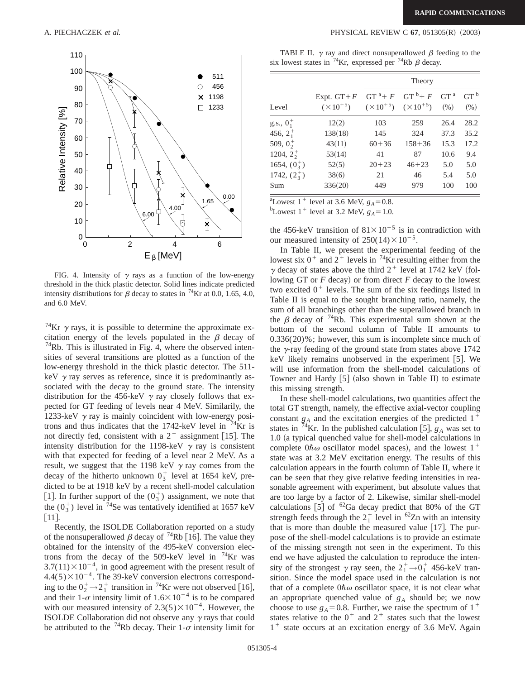

FIG. 4. Intensity of  $\gamma$  rays as a function of the low-energy threshold in the thick plastic detector. Solid lines indicate predicted intensity distributions for  $\beta$  decay to states in <sup>74</sup>Kr at 0.0, 1.65, 4.0, and 6.0 MeV.

<sup>74</sup>Kr  $\gamma$  rays, it is possible to determine the approximate excitation energy of the levels populated in the  $\beta$  decay of  $74$ Rb. This is illustrated in Fig. 4, where the observed intensities of several transitions are plotted as a function of the low-energy threshold in the thick plastic detector. The 511 keV  $\gamma$  ray serves as reference, since it is predominantly associated with the decay to the ground state. The intensity distribution for the 456-keV  $\gamma$  ray closely follows that expected for GT feeding of levels near 4 MeV. Similarily, the 1233-keV  $\gamma$  ray is mainly coincident with low-energy positrons and thus indicates that the  $1742$ -keV level in  $14Kr$  is not directly fed, consistent with a  $2^+$  assignment [15]. The intensity distribution for the 1198-keV  $\gamma$  ray is consistent with that expected for feeding of a level near 2 MeV. As a result, we suggest that the 1198 keV  $\gamma$  ray comes from the decay of the hitherto unknown  $0_3^+$  level at 1654 keV, predicted to be at 1918 keV by a recent shell-model calculation [1]. In further support of the  $(0<sub>3</sub><sup>+</sup>)$  assignment, we note that the  $(0_3^{\dagger})$  level in <sup>74</sup>Se was tentatively identified at 1657 keV  $\lceil 11 \rceil$ .

Recently, the ISOLDE Collaboration reported on a study of the nonsuperallowed  $\beta$  decay of <sup>74</sup>Rb [16]. The value they obtained for the intensity of the 495-keV conversion electrons from the decay of the 509-keV level in  $74$ Kr was  $3.7(11)\times10^{-4}$ , in good agreement with the present result of  $4.4(5)\times10^{-4}$ . The 39-keV conversion electrons corresponding to the  $0^+_2 \rightarrow 2^+_1$  transition in <sup>74</sup>Kr were not observed [16], and their  $1-\sigma$  intensity limit of  $1.6\times10^{-4}$  is to be compared with our measured intensity of  $2.3(5) \times 10^{-4}$ . However, the ISOLDE Collaboration did not observe any  $\gamma$  rays that could be attributed to the <sup>74</sup>Rb decay. Their 1- $\sigma$  intensity limit for

A. PIECHACZEK *et al.* PHYSICAL REVIEW C **67**, 051305(R) (2003)

|  | TABLE II. $\gamma$ ray and direct nonsuperallowed $\beta$ feeding to the             |  |  |
|--|--------------------------------------------------------------------------------------|--|--|
|  | six lowest states in <sup>74</sup> Kr, expressed per <sup>74</sup> Rb $\beta$ decay. |  |  |

|                   |                                      | Theory    |                                                                |                         |                         |
|-------------------|--------------------------------------|-----------|----------------------------------------------------------------|-------------------------|-------------------------|
| Level             | Expt. $GT + F$<br>$(\times 10^{+5})$ |           | $GT^a + F$ $GT^b + F$<br>$(\times 10^{+5})$ $(\times 10^{+5})$ | GT <sup>a</sup><br>(% ) | GT <sup>b</sup><br>(% ) |
| $g.s., 01+$       | 12(2)                                | 103       | 259                                                            | 26.4                    | 28.2                    |
| 456, $2^{+}_{1}$  | 138(18)                              | 145       | 324                                                            | 37.3                    | 35.2                    |
| 509, $0^+$        | 43(11)                               | $60 + 36$ | $158 + 36$                                                     | 15.3                    | 17.2                    |
| 1204, $2^{+}_{2}$ | 53(14)                               | 41        | 87                                                             | 10.6                    | 9.4                     |
| 1654, $(0^+_3)$   | 52(5)                                | $20 + 23$ | $46 + 23$                                                      | 5.0                     | 5.0                     |
| 1742, $(2^+_3)$   | 38(6)                                | 21        | 46                                                             | 5.4                     | 5.0                     |
| Sum               | 336(20)                              | 449       | 979                                                            | 100                     | 100                     |

<sup>a</sup>Lowest 1<sup>+</sup> level at 3.6 MeV,  $g_A = 0.8$ .<br><sup>b</sup>Lowest 1<sup>+</sup> level at 3.2 MeV,  $g_A = 1.0$ 

<sup>b</sup>Lowest 1<sup>+</sup> level at 3.2 MeV,  $g_A = 1.0$ .

the 456-keV transition of  $81\times10^{-5}$  is in contradiction with our measured intensity of  $250(14)\times10^{-5}$ .

In Table II, we present the experimental feeding of the lowest six  $0^+$  and  $2^+$  levels in <sup>74</sup>Kr resulting either from the  $\gamma$  decay of states above the third  $2^+$  level at 1742 keV (following GT or  $F$  decay) or from direct  $F$  decay to the lowest two excited  $0^+$  levels. The sum of the six feedings listed in Table II is equal to the sought branching ratio, namely, the sum of all branchings other than the superallowed branch in the  $\beta$  decay of <sup>74</sup>Rb. This experimental sum shown at the bottom of the second column of Table II amounts to 0.336(20)%; however, this sum is incomplete since much of the  $\gamma$ -ray feeding of the ground state from states above 1742 keV likely remains unobserved in the experiment  $[5]$ . We will use information from the shell-model calculations of Towner and Hardy  $[5]$  (also shown in Table II) to estimate this missing strength.

In these shell-model calculations, two quantities affect the total GT strength, namely, the effective axial-vector coupling constant  $g_A$  and the excitation energies of the predicted  $1^+$ states in  $^{74}$ Kr. In the published calculation [5],  $g_A$  was set to  $1.0$  (a typical quenched value for shell-model calculations in complete  $0\hbar\omega$  oscillator model spaces), and the lowest  $1^+$ state was at 3.2 MeV excitation energy. The results of this calculation appears in the fourth column of Table II, where it can be seen that they give relative feeding intensities in reasonable agreement with experiment, but absolute values that are too large by a factor of 2. Likewise, similar shell-model calculations  $[5]$  of <sup>62</sup>Ga decay predict that 80% of the GT strength feeds through the  $2^+_1$  level in <sup>62</sup>Zn with an intensity that is more than double the measured value  $[17]$ . The purpose of the shell-model calculations is to provide an estimate of the missing strength not seen in the experiment. To this end we have adjusted the calculation to reproduce the intensity of the strongest  $\gamma$  ray seen, the  $2^+_1 \rightarrow 0^+_1$  456-keV transition. Since the model space used in the calculation is not that of a complete  $0\hbar\omega$  oscillator space, it is not clear what an appropriate quenched value of *gA* should be; we now choose to use  $g_A = 0.8$ . Further, we raise the spectrum of 1<sup>+</sup> states relative to the  $0^+$  and  $2^+$  states such that the lowest  $1^+$  state occurs at an excitation energy of 3.6 MeV. Again